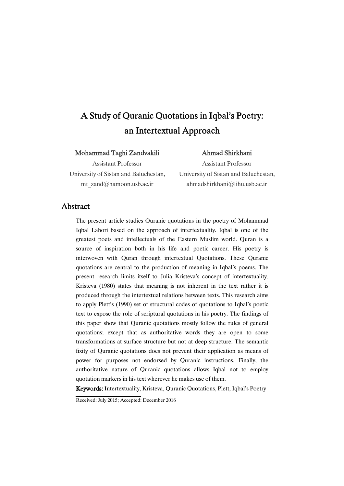# A Study of Quranic Quotations in Iqbal's Poetry: an Intertextual Approach

### Mohammad-Taghi Zandvakili

# Assistant Professor University of Sistan and Baluchestan, mt\_zand@hamoon.usb.ac.ir

# Ahmad Shirkhani

Assistant Professor University of Sistan and Baluchestan, ahmadshirkhani@lihu.usb.ac.ir

### **Abstract**

The present article studies Quranic quotations in the poetry of Mohammad Iqbal Lahori based on the approach of intertextuality. Iqbal is one of the greatest poets and intellectuals of the Eastern Muslim world. Quran is a source of inspiration both in his life and poetic career. His poetry is interwoven with Quran through intertextual Quotations. These Quranic quotations are central to the production of meaning in Iqbal's poems. The present research limits itself to Julia Kristeva's concept of intertextuality. Kristeva (1980) states that meaning is not inherent in the text rather it is produced through the intertextual relations between texts. This research aims to apply Plett's (1990) set of structural codes of quotations to Iqbal's poetic text to expose the role of scriptural quotations in his poetry. The findings of this paper show that Quranic quotations mostly follow the rules of general quotations; except that as authoritative words they are open to some transformations at surface structure but not at deep structure. The semantic fixity of Quranic quotations does not prevent their application as means of power for purposes not endorsed by Quranic instructions. Finally, the authoritative nature of Quranic quotations allows Iqbal not to employ quotation markers in his text wherever he makes use of them.

Keywords: Intertextuality, Kristeva, Quranic Quotations, Plett, Iqbal's Poetry

Received: July 2015; Accepted: December 2016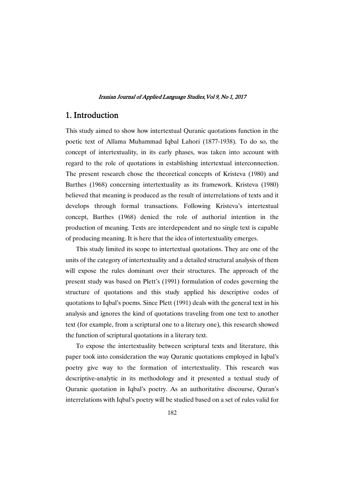# 1. Introduction

This study aimed to show how intertextual Quranic quotations function in the poetic text of Allama Muhammad Iqbal Lahori (1877-1938). To do so, the concept of intertextuality, in its early phases, was taken into account with regard to the role of quotations in establishing intertextual interconnection. The present research chose the theoretical concepts of Kristeva (1980) and Barthes (1968) concerning intertextuality as its framework. Kristeva (1980) believed that meaning is produced as the result of interrelations of texts and it develops through formal transactions. Following Kristeva's intertextual concept, Barthes (1968) denied the role of authorial intention in the production of meaning. Texts are interdependent and no single text is capable of producing meaning. It is here that the idea of intertextuality emerges.

This study limited its scope to intertextual quotations. They are one of the units of the category of intertextuality and a detailed structural analysis of them will expose the rules dominant over their structures. The approach of the present study was based on Plett's (1991) formulation of codes governing the structure of quotations and this study applied his descriptive codes of quotations to Iqbal's poems. Since Plett (1991) deals with the general text in his analysis and ignores the kind of quotations traveling from one text to another text (for example, from a scriptural one to a literary one), this research showed the function of scriptural quotations in a literary text.

To expose the intertextuality between scriptural texts and literature, this paper took into consideration the way Quranic quotations employed in Iqbal's poetry give way to the formation of intertextuality. This research was descriptive-analytic in its methodology and it presented a textual study of Quranic quotation in Iqbal's poetry. As an authoritative discourse, Quran's interrelations with Iqbal's poetry will be studied based on a set of rules valid for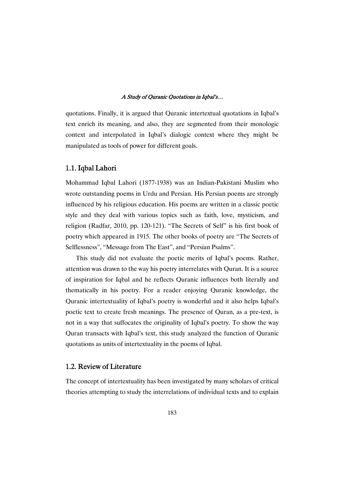quotations. Finally, it is argued that Quranic intertextual quotations in Iqbal's text enrich its meaning, and also, they are segmented from their monologic context and interpolated in Iqbal's dialogic context where they might be manipulated as tools of power for different goals.

### 1.1. Iqbal Lahori

Mohammad Iqbal Lahori (1877-1938) was an Indian-Pakistani Muslim who wrote outstanding poems in Urdu and Persian. His Persian poems are strongly influenced by his religious education. His poems are written in a classic poetic style and they deal with various topics such as faith, love, mysticism, and religion (Radfar, 2010, pp. 120-121). "The Secrets of Self" is his first book of poetry which appeared in 1915. The other books of poetry are "The Secrets of Selflessness", "Message from The East", and "Persian Psalms".

This study did not evaluate the poetic merits of Iqbal's poems. Rather, attention was drawn to the way his poetry interrelates with Quran. It is a source of inspiration for Iqbal and he reflects Quranic influences both literally and thematically in his poetry. For a reader enjoying Quranic knowledge, the Quranic intertextuality of Iqbal's poetry is wonderful and it also helps Iqbal's poetic text to create fresh meanings. The presence of Quran, as a pre-text, is not in a way that suffocates the originality of Iqbal's poetry. To show the way Quran transacts with Iqbal's text, this study analyzed the function of Quranic quotations as units of intertextuality in the poems of Iqbal.

### 1.2. Review of Literature

The concept of intertextuality has been investigated by many scholars of critical theories attempting to study the interrelations of individual texts and to explain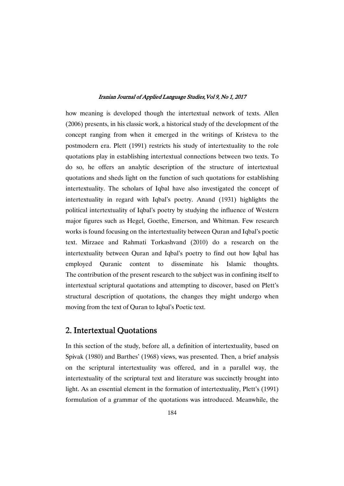how meaning is developed though the intertextual network of texts. Allen (2006) presents, in his classic work, a historical study of the development of the concept ranging from when it emerged in the writings of Kristeva to the postmodern era. Plett (1991) restricts his study of intertextuality to the role quotations play in establishing intertextual connections between two texts. To do so, he offers an analytic description of the structure of intertextual quotations and sheds light on the function of such quotations for establishing intertextuality. The scholars of Iqbal have also investigated the concept of intertextuality in regard with Iqbal's poetry. Anand (1931) highlights the political intertextuality of Iqbal's poetry by studying the influence of Western major figures such as Hegel, Goethe, Emerson, and Whitman. Few research works is found focusing on the intertextuality between Quran and Iqbal's poetic text. Mirzaee and Rahmati Torkashvand (2010) do a research on the intertextuality between Quran and Iqbal's poetry to find out how Iqbal has employed Quranic content to disseminate his Islamic thoughts. The contribution of the present research to the subject was in confining itself to intertextual scriptural quotations and attempting to discover, based on Plett's structural description of quotations, the changes they might undergo when moving from the text of Quran to Iqbal's Poetic text.

# 2. Intertextual Quotations

In this section of the study, before all, a definition of intertextuality, based on Spivak (1980) and Barthes' (1968) views, was presented. Then, a brief analysis on the scriptural intertextuality was offered, and in a parallel way, the intertextuality of the scriptural text and literature was succinctly brought into light. As an essential element in the formation of intertextuality, Plett's (1991) formulation of a grammar of the quotations was introduced. Meanwhile, the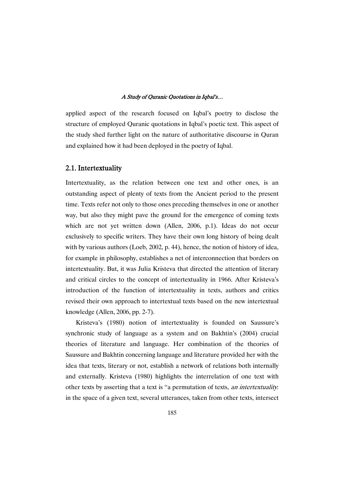applied aspect of the research focused on Iqbal's poetry to disclose the structure of employed Quranic quotations in Iqbal's poetic text. This aspect of the study shed further light on the nature of authoritative discourse in Quran and explained how it had been deployed in the poetry of Iqbal.

### 2.1. Intertextuality

Intertextuality, as the relation between one text and other ones, is an outstanding aspect of plenty of texts from the Ancient period to the present time. Texts refer not only to those ones preceding themselves in one or another way, but also they might pave the ground for the emergence of coming texts which are not yet written down (Allen, 2006, p.1). Ideas do not occur exclusively to specific writers. They have their own long history of being dealt with by various authors (Loeb, 2002, p. 44), hence, the notion of history of idea, for example in philosophy, establishes a net of interconnection that borders on intertextuality. But, it was Julia Kristeva that directed the attention of literary and critical circles to the concept of intertextuality in 1966. After Kristeva's introduction of the function of intertextuality in texts, authors and critics revised their own approach to intertextual texts based on the new intertextual knowledge (Allen, 2006, pp. 2-7).

Kristeva's (1980) notion of intertextuality is founded on Saussure's synchronic study of language as a system and on Bakhtin's (2004) crucial theories of literature and language. Her combination of the theories of Saussure and Bakhtin concerning language and literature provided her with the idea that texts, literary or not, establish a network of relations both internally and externally. Kristeva (1980) highlights the interrelation of one text with other texts by asserting that a text is "a permutation of texts, an intertextuality: in the space of a given text, several utterances, taken from other texts, intersect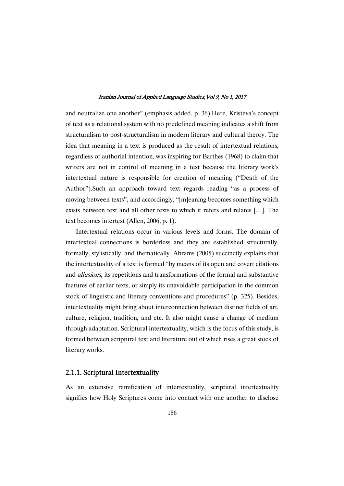and neutralize one another" (emphasis added, p. 36).Here, Kristeva's concept of text as a relational system with no predefined meaning indicates a shift from structuralism to post-structuralism in modern literary and cultural theory. The idea that meaning in a text is produced as the result of intertextual relations, regardless of authorial intention, was inspiring for Barthes (1968) to claim that writers are not in control of meaning in a text because the literary work's intertextual nature is responsible for creation of meaning ("Death of the Author").Such an approach toward text regards reading "as a process of moving between texts", and accordingly, "[m]eaning becomes something which exists between text and all other texts to which it refers and relates […]. The text becomes intertext (Allen, 2006, p. 1).

Intertextual relations occur in various levels and forms. The domain of intertextual connections is borderless and they are established structurally, formally, stylistically, and thematically. Abrams (2005) succinctly explains that the intertextuality of a text is formed "by means of its open and covert citations and allusions, its repetitions and transformations of the formal and substantive features of earlier texts, or simply its unavoidable participation in the common stock of linguistic and literary conventions and procedures" (p. 325). Besides, intertextuality might bring about interconnection between distinct fields of art, culture, religion, tradition, and etc. It also might cause a change of medium through adaptation. Scriptural intertextuality, which is the focus of this study, is formed between scriptural text and literature out of which rises a great stock of literary works.

### 2.1.1. Scriptural Intertextuality

As an extensive ramification of intertextuality, scriptural intertextuality signifies how Holy Scriptures come into contact with one another to disclose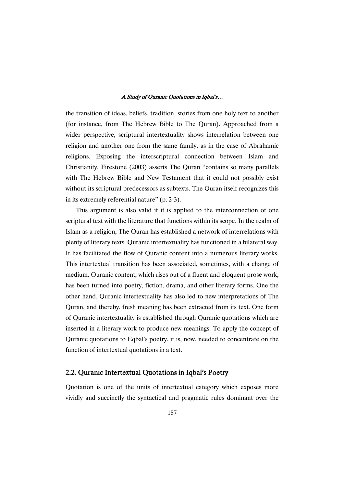the transition of ideas, beliefs, tradition, stories from one holy text to another (for instance, from The Hebrew Bible to The Quran). Approached from a wider perspective, scriptural intertextuality shows interrelation between one religion and another one from the same family, as in the case of Abrahamic religions. Exposing the interscriptural connection between Islam and Christianity, Firestone (2003) asserts The Quran "contains so many parallels with The Hebrew Bible and New Testament that it could not possibly exist without its scriptural predecessors as subtexts. The Quran itself recognizes this in its extremely referential nature" (p. 2-3).

This argument is also valid if it is applied to the interconnection of one scriptural text with the literature that functions within its scope. In the realm of Islam as a religion, The Quran has established a network of interrelations with plenty of literary texts. Quranic intertextuality has functioned in a bilateral way. It has facilitated the flow of Quranic content into a numerous literary works. This intertextual transition has been associated, sometimes, with a change of medium. Quranic content, which rises out of a fluent and eloquent prose work, has been turned into poetry, fiction, drama, and other literary forms. One the other hand, Quranic intertextuality has also led to new interpretations of The Quran, and thereby, fresh meaning has been extracted from its text. One form of Quranic intertextuality is established through Quranic quotations which are inserted in a literary work to produce new meanings. To apply the concept of Quranic quotations to Eqbal's poetry, it is, now, needed to concentrate on the function of intertextual quotations in a text.

### 2.2. Quranic Intertextual Quotations in Iqbal's Poetry

Quotation is one of the units of intertextual category which exposes more vividly and succinctly the syntactical and pragmatic rules dominant over the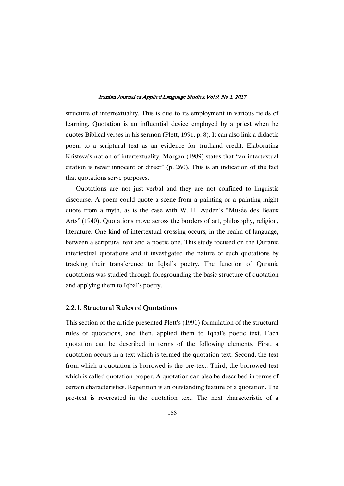structure of intertextuality. This is due to its employment in various fields of learning. Quotation is an influential device employed by a priest when he quotes Biblical verses in his sermon (Plett, 1991, p. 8). It can also link a didactic poem to a scriptural text as an evidence for truthand credit. Elaborating Kristeva's notion of intertextuality, Morgan (1989) states that "an intertextual citation is never innocent or direct" (p. 260). This is an indication of the fact that quotations serve purposes.

Quotations are not just verbal and they are not confined to linguistic discourse. A poem could quote a scene from a painting or a painting might quote from a myth, as is the case with W. H. Auden's "Musée des Beaux Arts" (1940). Quotations move across the borders of art, philosophy, religion, literature. One kind of intertextual crossing occurs, in the realm of language, between a scriptural text and a poetic one. This study focused on the Quranic intertextual quotations and it investigated the nature of such quotations by tracking their transference to Iqbal's poetry. The function of Quranic quotations was studied through foregrounding the basic structure of quotation and applying them to Iqbal's poetry.

### 2.2.1. Structural Rules of Quotations

This section of the article presented Plett's (1991) formulation of the structural rules of quotations, and then, applied them to Iqbal's poetic text. Each quotation can be described in terms of the following elements. First, a quotation occurs in a text which is termed the quotation text. Second, the text from which a quotation is borrowed is the pre-text. Third, the borrowed text which is called quotation proper. A quotation can also be described in terms of certain characteristics. Repetition is an outstanding feature of a quotation. The pre-text is re-created in the quotation text. The next characteristic of a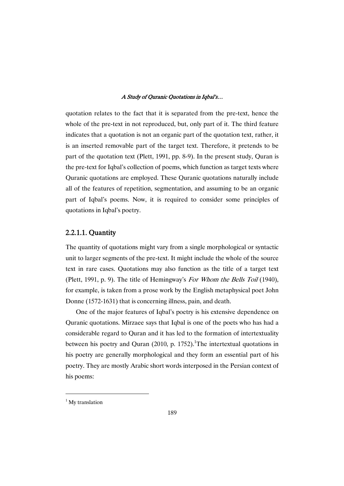quotation relates to the fact that it is separated from the pre-text, hence the whole of the pre-text in not reproduced, but, only part of it. The third feature indicates that a quotation is not an organic part of the quotation text, rather, it is an inserted removable part of the target text. Therefore, it pretends to be part of the quotation text (Plett, 1991, pp. 8-9). In the present study, Quran is the pre-text for Iqbal's collection of poems, which function as target texts where Quranic quotations are employed. These Quranic quotations naturally include all of the features of repetition, segmentation, and assuming to be an organic part of Iqbal's poems. Now, it is required to consider some principles of quotations in Iqbal's poetry.

### 2.2.1.1. Quantity

The quantity of quotations might vary from a single morphological or syntactic unit to larger segments of the pre-text. It might include the whole of the source text in rare cases. Quotations may also function as the title of a target text (Plett, 1991, p. 9). The title of Hemingway's For Whom the Bells Toil (1940), for example, is taken from a prose work by the English metaphysical poet John Donne (1572-1631) that is concerning illness, pain, and death.

One of the major features of Iqbal's poetry is his extensive dependence on Quranic quotations. Mirzaee says that Iqbal is one of the poets who has had a considerable regard to Quran and it has led to the formation of intertextuality between his poetry and Quran (2010, p. 1752). The intertextual quotations in his poetry are generally morphological and they form an essential part of his poetry. They are mostly Arabic short words interposed in the Persian context of his poems:

 $1$  My translation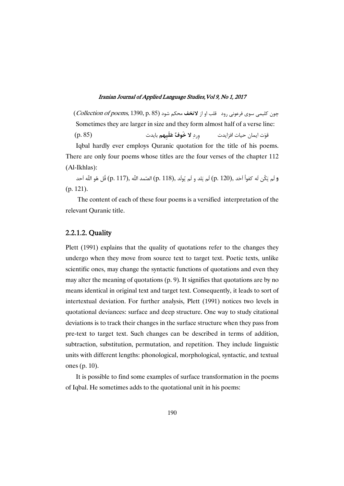(Collection of poems, 1390, p. 85) - **-** -  Sometimes they are larger in size and they form almost half of a verse line:

(p. 85) "%  - ! "# "
\$

Iqbal hardly ever employs Quranic quotation for the title of his poems. There are only four poems whose titles are the four verses of the chapter 112 (Al-Ikhlas):

و لَم يَكُن لَه كفواً آخَد ,(p. 120) لَم يَلد و لَم يُولَد ,(p. 118) الصّمد اللّه ,(p. 117) قُل هُو اللّه آحد (p. 121).

The content of each of these four poems is a versified interpretation of the relevant Quranic title.

### 2.2.1.2. Quality

Plett (1991) explains that the quality of quotations refer to the changes they undergo when they move from source text to target text. Poetic texts, unlike scientific ones, may change the syntactic functions of quotations and even they may alter the meaning of quotations (p. 9). It signifies that quotations are by no means identical in original text and target text. Consequently, it leads to sort of intertextual deviation. For further analysis, Plett (1991) notices two levels in quotational deviances: surface and deep structure. One way to study citational deviations is to track their changes in the surface structure when they pass from pre-text to target text. Such changes can be described in terms of addition, subtraction, substitution, permutation, and repetition. They include linguistic units with different lengths: phonological, morphological, syntactic, and textual ones (p. 10).

It is possible to find some examples of surface transformation in the poems of Iqbal. He sometimes adds to the quotational unit in his poems: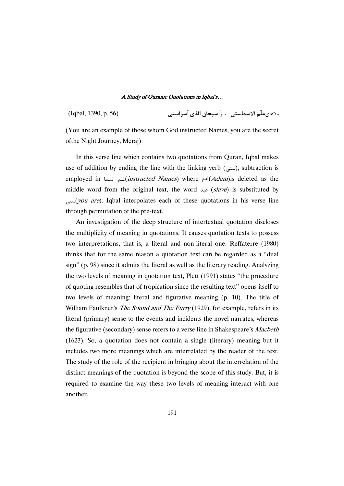-(Iqbal, 1390, p. 56) 

.<br>مدّعاى**عَلّمَ الاسماستي سرّ سبحان الذي اَسراستي** 

(You are an example of those whom God instructed Names, you are the secret ofthe Night Journey, Meraj)

In this verse line which contains two quotations from Quran, Iqbal makes use of addition by ending the line with the linking verb  $($ ستی), subtraction is employed in السما $(Adam)$  s deleted as the $(Adam)$ is deleted as the middle word from the original text, the word  $s/$  (slave) is substituted by  $(you\ are)$ . Iqbal interpolates each of these quotations in his verse line through permutation of the pre-text.

An investigation of the deep structure of intertextual quotation discloses the multiplicity of meaning in quotations. It causes quotation texts to possess two interpretations, that is, a literal and non-literal one. Reffaterre (1980) thinks that for the same reason a quotation text can be regarded as a "dual sign" (p. 98) since it admits the literal as well as the literary reading. Analyzing the two levels of meaning in quotation text, Plett (1991) states "the procedure of quoting resembles that of tropication since the resulting text" opens itself to two levels of meaning: literal and figurative meaning (p. 10). The title of William Faulkner's The Sound and The Furry (1929), for example, refers in its literal (primary) sense to the events and incidents the novel narrates, whereas the figurative (secondary) sense refers to a verse line in Shakespeare's Macbeth (1623). So, a quotation does not contain a single (literary) meaning but it includes two more meanings which are interrelated by the reader of the text. The study of the role of the recipient in bringing about the interrelation of the distinct meanings of the quotation is beyond the scope of this study. But, it is required to examine the way these two levels of meaning interact with one another.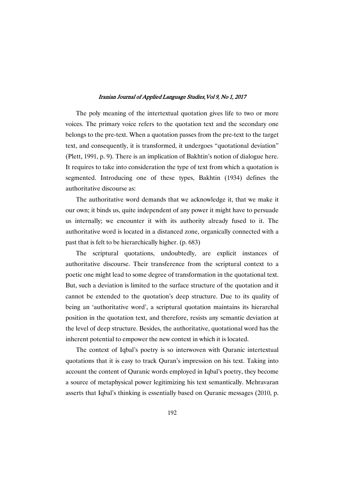The poly meaning of the intertextual quotation gives life to two or more voices. The primary voice refers to the quotation text and the secondary one belongs to the pre-text. When a quotation passes from the pre-text to the target text, and consequently, it is transformed, it undergoes "quotational deviation" (Plett, 1991, p. 9). There is an implication of Bakhtin's notion of dialogue here. It requires to take into consideration the type of text from which a quotation is segmented. Introducing one of these types, Bakhtin (1934) defines the authoritative discourse as:

The authoritative word demands that we acknowledge it, that we make it our own; it binds us, quite independent of any power it might have to persuade us internally; we encounter it with its authority already fused to it. The authoritative word is located in a distanced zone, organically connected with a past that is felt to be hierarchically higher. (p. 683)

The scriptural quotations, undoubtedly, are explicit instances of authoritative discourse. Their transference from the scriptural context to a poetic one might lead to some degree of transformation in the quotational text. But, such a deviation is limited to the surface structure of the quotation and it cannot be extended to the quotation's deep structure. Due to its quality of being an 'authoritative word', a scriptural quotation maintains its hierarchal position in the quotation text, and therefore, resists any semantic deviation at the level of deep structure. Besides, the authoritative, quotational word has the inherent potential to empower the new context in which it is located.

The context of Iqbal's poetry is so interwoven with Quranic intertextual quotations that it is easy to track Quran's impression on his text. Taking into account the content of Quranic words employed in Iqbal's poetry, they become a source of metaphysical power legitimizing his text semantically. Mehravaran asserts that Iqbal's thinking is essentially based on Quranic messages (2010, p.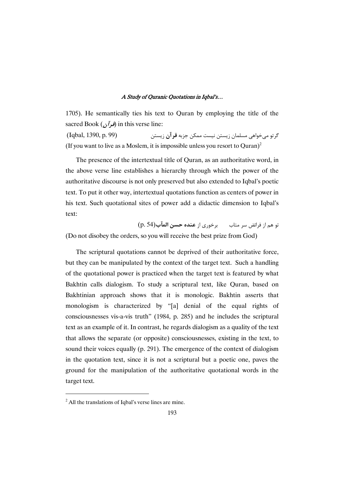1705). He semantically ties his text to Quran by employing the title of the sacred Book (*فرآ*ن) in this verse line:

 $(Iqbal, 1390, p. 99)$ گر تو م*ي خ*واهي مسلمان زيستن نيست ممكن جزبه **قر آن** زيستن (If you want to live as a Moslem, it is impossible unless you resort to Quran)<sup>2</sup>

The presence of the intertextual title of Quran, as an authoritative word, in the above verse line establishes a hierarchy through which the power of the authoritative discourse is not only preserved but also extended to Iqbal's poetic text. To put it other way, intertextual quotations function as centers of power in his text. Such quotational sites of power add a didactic dimension to Iqbal's text:

تو هم از فرائض سر متاب برخورى از **عنده حسن المآب** $( p. \, 54)$ (Do not disobey the orders, so you will receive the best prize from God)

The scriptural quotations cannot be deprived of their authoritative force, but they can be manipulated by the context of the target text. Such a handling of the quotational power is practiced when the target text is featured by what Bakhtin calls dialogism. To study a scriptural text, like Quran, based on Bakhtinian approach shows that it is monologic. Bakhtin asserts that monologism is characterized by "[a] denial of the equal rights of consciousnesses vis-a-vis truth" (1984, p. 285) and he includes the scriptural text as an example of it. In contrast, he regards dialogism as a quality of the text that allows the separate (or opposite) consciousnesses, existing in the text, to sound their voices equally (p. 291). The emergence of the context of dialogism in the quotation text, since it is not a scriptural but a poetic one, paves the ground for the manipulation of the authoritative quotational words in the target text.

 $<sup>2</sup>$  All the translations of Iqbal's verse lines are mine.</sup>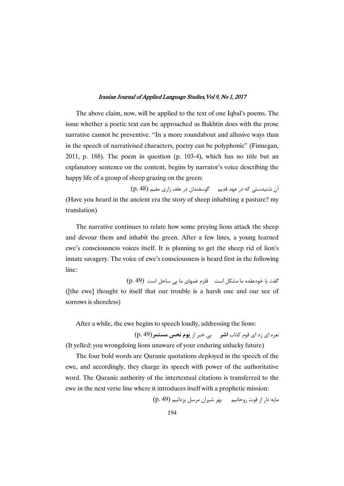The above claim, now, will be applied to the text of one Iqbal's poems. The issue whether a poetic text can be approached as Bakhtin does with the prose narrative cannot be preventive. "In a more roundabout and allusive ways than in the speech of narrativised characters, poetry can be polyphonic" (Finnegan, 2011, p. 188). The poem in question (p. 103-4), which has no title but an explanatory sentence on the content, begins by narrator's voice describing the happy life of a group of sheep grazing on the green:

آن شنیدستی که در عهد قدیم گوسفندان در علف زاری مقیم (48 p.) (Have you heard in the ancient era the story of sheep inhabiting a pasture? my translation)

The narrative continues to relate how some preying lions attack the sheep and devour them and inhabit the green. After a few lines, a young learned ewe's consciousness voices itself. It is planning to get the sheep rid of lion's innate savagery. The voice of ewe's consciousness is heard first in the following line:

 $\left(\mathrm{p.}\,49\right)\,$  گفت با خودعقده ما مشکل است  $\,$  قلزم غمهای ما بی ساحل است ([the ewe] thought to itself that our trouble is a harsh one and our see of sorrows is shoreless)

After a while, the ewe begins to speech loudly, addressing the lions:

نعره ای زد ای قوم کذاب **اشر م**ه بی خبر از **یوم نحس مستمر (p. 49)** 

(It yelled: you wrongdoing lions unaware of your enduring unlucky future)

The four bold words are Quranic quotations deployed in the speech of the ewe, and accordingly, they charge its speech with power of the authoritative word. The Quranic authority of the intertextual citations is transferred to the ewe in the next verse line where it introduces itself with a prophetic mission:

(p. 49) -! , A% "# -' "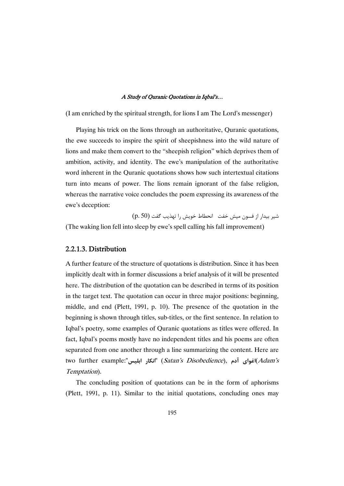(I am enriched by the spiritual strength, for lions I am The Lord's messenger)

Playing his trick on the lions through an authoritative, Quranic quotations, the ewe succeeds to inspire the spirit of sheepishness into the wild nature of lions and make them convert to the "sheepish religion" which deprives them of ambition, activity, and identity. The ewe's manipulation of the authoritative word inherent in the Quranic quotations shows how such intertextual citations turn into means of power. The lions remain ignorant of the false religion, whereas the narrative voice concludes the poem expressing its awareness of the ewe's deception:

شیر بیدار از فسون میش خفت انحطاط خویش را تهذیب گفت (p. 50) (The waking lion fell into sleep by ewe's spell calling his fall improvement)

### 2.2.1.3. Distribution

A further feature of the structure of quotations is distribution. Since it has been implicitly dealt with in former discussions a brief analysis of it will be presented here. The distribution of the quotation can be described in terms of its position in the target text. The quotation can occur in three major positions: beginning, middle, and end (Plett, 1991, p. 10). The presence of the quotation in the beginning is shown through titles, sub-titles, or the first sentence. In relation to Iqbal's poetry, some examples of Quranic quotations as titles were offered. In fact, Iqbal's poems mostly have no independent titles and his poems are often separated from one another through a line summarizing the content. Here are two further example: " "**, 0 12-** (Satan's Disobedience), **.4 3**(Adam's Temptation).

The concluding position of quotations can be in the form of aphorisms (Plett, 1991, p. 11). Similar to the initial quotations, concluding ones may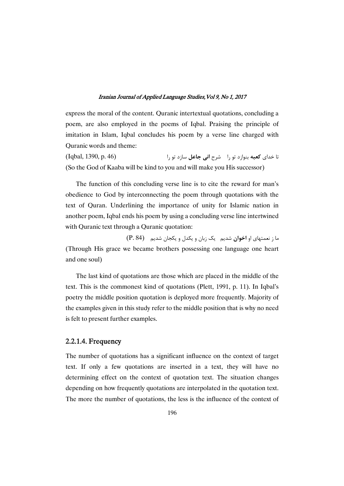express the moral of the content. Quranic intertextual quotations, concluding a poem, are also employed in the poems of Iqbal. Praising the principle of imitation in Islam, Iqbal concludes his poem by a verse line charged with Quranic words and theme:

 $(Iqbal, 1390, p. 46)$ تا خدای **کعبه** بنوازد تو را \_ شرح **انی جاعل** ساز (So the God of Kaaba will be kind to you and will make you His successor)

The function of this concluding verse line is to cite the reward for man's obedience to God by interconnecting the poem through quotations with the text of Quran. Underlining the importance of unity for Islamic nation in another poem, Iqbal ends his poem by using a concluding verse line intertwined with Quranic text through a Quranic quotation:

 $(P. 84)$  ما زنعمتهای او **اخوان** شدیم - یک زبان و یکدل و یکجان شدیم (Through His grace we became brothers possessing one language one heart and one soul)

The last kind of quotations are those which are placed in the middle of the text. This is the commonest kind of quotations (Plett, 1991, p. 11). In Iqbal's poetry the middle position quotation is deployed more frequently. Majority of the examples given in this study refer to the middle position that is why no need is felt to present further examples.

### 2.2.1.4. Frequency

The number of quotations has a significant influence on the context of target text. If only a few quotations are inserted in a text, they will have no determining effect on the context of quotation text. The situation changes depending on how frequently quotations are interpolated in the quotation text. The more the number of quotations, the less is the influence of the context of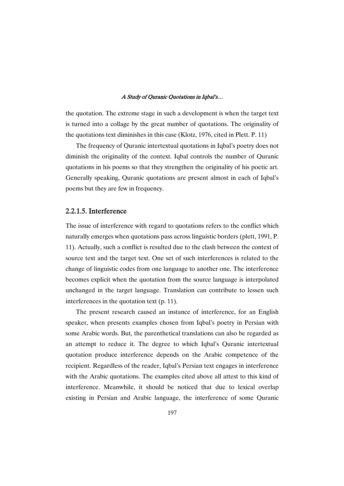the quotation. The extreme stage in such a development is when the target text is turned into a collage by the great number of quotations. The originality of the quotations text diminishes in this case (Klotz, 1976, cited in Plett. P. 11)

The frequency of Quranic intertextual quotations in Iqbal's poetry does not diminish the originality of the context. Iqbal controls the number of Quranic quotations in his poems so that they strengthen the originality of his poetic art. Generally speaking, Quranic quotations are present almost in each of Iqbal's poems but they are few in frequency.

### 2.2.1.5. Interference

The issue of interference with regard to quotations refers to the conflict which naturally emerges when quotations pass across linguistic borders (plett, 1991, P. 11). Actually, such a conflict is resulted due to the clash between the context of source text and the target text. One set of such interferences is related to the change of linguistic codes from one language to another one. The interference becomes explicit when the quotation from the source language is interpolated unchanged in the target language. Translation can contribute to lessen such interferences in the quotation text (p. 11).

The present research caused an instance of interference, for an English speaker, when presents examples chosen from Iqbal's poetry in Persian with some Arabic words. But, the parenthetical translations can also be regarded as an attempt to reduce it. The degree to which Iqbal's Quranic intertextual quotation produce interference depends on the Arabic competence of the recipient. Regardless of the reader, Iqbal's Persian text engages in interference with the Arabic quotations. The examples cited above all attest to this kind of interference. Meanwhile, it should be noticed that due to lexical overlap existing in Persian and Arabic language, the interference of some Quranic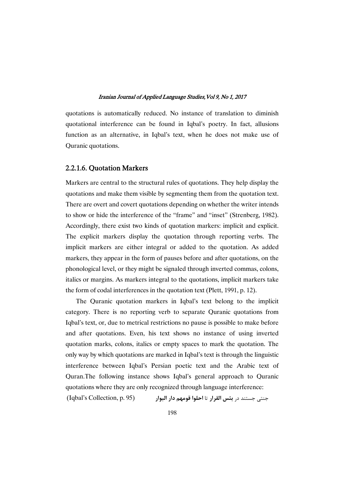quotations is automatically reduced. No instance of translation to diminish quotational interference can be found in Iqbal's poetry. In fact, allusions function as an alternative, in Iqbal's text, when he does not make use of Quranic quotations.

### 2.2.1.6. Quotation Markers

Markers are central to the structural rules of quotations. They help display the quotations and make them visible by segmenting them from the quotation text. There are overt and covert quotations depending on whether the writer intends to show or hide the interference of the "frame" and "inset" (Strenberg, 1982). Accordingly, there exist two kinds of quotation markers: implicit and explicit. The explicit markers display the quotation through reporting verbs. The implicit markers are either integral or added to the quotation. As added markers, they appear in the form of pauses before and after quotations, on the phonological level, or they might be signaled through inverted commas, colons, italics or margins. As markers integral to the quotations, implicit markers take the form of codal interferences in the quotation text (Plett, 1991, p. 12).

The Quranic quotation markers in Iqbal's text belong to the implicit category. There is no reporting verb to separate Quranic quotations from Iqbal's text, or, due to metrical restrictions no pause is possible to make before and after quotations. Even, his text shows no instance of using inverted quotation marks, colons, italics or empty spaces to mark the quotation. The only way by which quotations are marked in Iqbal's text is through the linguistic interference between Iqbal's Persian poetic text and the Arabic text of Quran.The following instance shows Iqbal's general approach to Quranic quotations where they are only recognized through language interference:

(Iqbal's Collection, p. 95) **1 14 +! &** "6 **1: ,;0** - @34: 3@: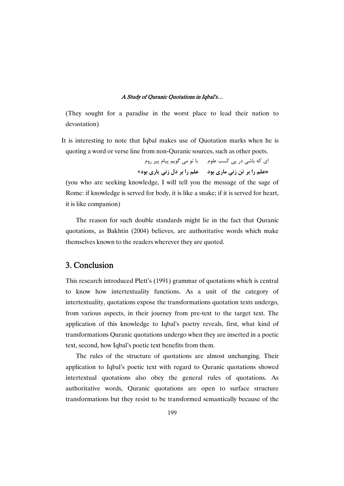(They sought for a paradise in the worst place to lead their nation to devastation)

It is interesting to note that Iqbal makes use of Quotation marks when he is quoting a word or verse line from non-Quranic sources, such as other poets.

> ای که باشی در پی کسب علوم ۔ با تو می گویم پیام پیر روم **«40 1/ -= <4 0 1 40 1+ -= \$ 0 1** »

(you who are seeking knowledge, I will tell you the message of the sage of Rome: if knowledge is served for body, it is like a snake; if it is served for heart, it is like companion)

The reason for such double standards might lie in the fact that Quranic quotations, as Bakhtin (2004) believes, are authoritative words which make themselves known to the readers wherever they are quoted.

# 3. Conclusion

This research introduced Plett's (1991) grammar of quotations which is central to know how intertextuality functions. As a unit of the category of intertextuality, quotations expose the transformations quotation texts undergo, from various aspects, in their journey from pre-text to the target text. The application of this knowledge to Iqbal's poetry reveals, first, what kind of transformations Quranic quotations undergo when they are inserted in a poetic text, second, how Iqbal's poetic text benefits from them.

The rules of the structure of quotations are almost unchanging. Their application to Iqbal's poetic text with regard to Quranic quotations showed intertextual quotations also obey the general rules of quotations. As authoritative words, Quranic quotations are open to surface structure transformations but they resist to be transformed semantically because of the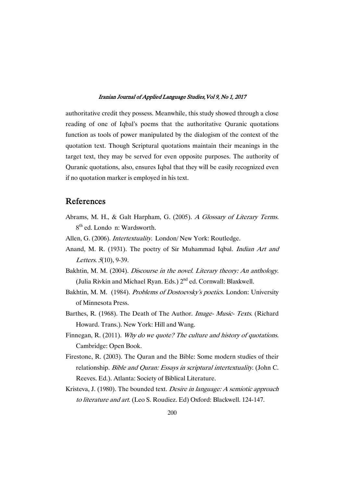authoritative credit they possess. Meanwhile, this study showed through a close reading of one of Iqbal's poems that the authoritative Quranic quotations function as tools of power manipulated by the dialogism of the context of the quotation text. Though Scriptural quotations maintain their meanings in the target text, they may be served for even opposite purposes. The authority of Quranic quotations, also, ensures Iqbal that they will be easily recognized even if no quotation marker is employed in his text.

# References

- Abrams, M. H., & Galt Harpham, G. (2005). <sup>A</sup> Glossary of Literary Terms. 8th ed. Londo n: Wardsworth.
- Allen, G. (2006). Intertextuality. London/ New York: Routledge.
- Anand, M. R. (1931). The poetry of Sir Muhammad Iqbal. Indian Art and Letters. 5(10), 9-39.
- Bakhtin, M. M. (2004). Discourse in the novel. Literary theory: An anthology. (Julia Rivkin and Michael Ryan. Eds.)  $2<sup>nd</sup>$  ed. Cornwall: Blaxkwell.
- Bakhtin, M. M. (1984). Problems of Dostoevsky's poetics. London: University of Minnesota Press.
- Barthes, R. (1968). The Death of The Author. Image- Music- Texts. (Richard Howard. Trans.). New York: Hill and Wang.
- Finnegan, R. (2011). Why do we quote? The culture and history of quotations. Cambridge: Open Book.
- Firestone, R. (2003). The Quran and the Bible: Some modern studies of their relationship. Bible and Quran: Essays in scriptural intertextuality. (John C. Reeves. Ed.). Atlanta: Society of Biblical Literature.
- Kristeva, J. (1980). The bounded text. *Desire in language: A semiotic approach* to literature and art. (Leo S. Roudiez. Ed) Oxford: Blackwell. 124-147.